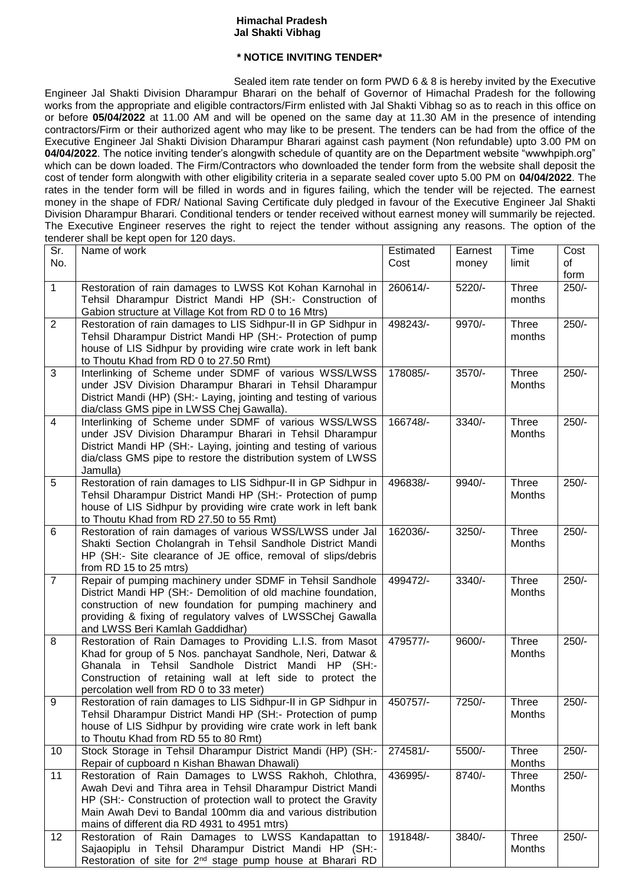## **Himachal Pradesh Jal Shakti Vibhag**

## **\* NOTICE INVITING TENDER\***

Sealed item rate tender on form PWD 6 & 8 is hereby invited by the Executive Engineer Jal Shakti Division Dharampur Bharari on the behalf of Governor of Himachal Pradesh for the following works from the appropriate and eligible contractors/Firm enlisted with Jal Shakti Vibhag so as to reach in this office on or before **05/04/2022** at 11.00 AM and will be opened on the same day at 11.30 AM in the presence of intending contractors/Firm or their authorized agent who may like to be present. The tenders can be had from the office of the Executive Engineer Jal Shakti Division Dharampur Bharari against cash payment (Non refundable) upto 3.00 PM on **04/04/2022**. The notice inviting tender's alongwith schedule of quantity are on the Department website "wwwhpiph.org" which can be down loaded. The Firm/Contractors who downloaded the tender form from the website shall deposit the cost of tender form alongwith with other eligibility criteria in a separate sealed cover upto 5.00 PM on **04/04/2022**. The rates in the tender form will be filled in words and in figures failing, which the tender will be rejected. The earnest money in the shape of FDR/ National Saving Certificate duly pledged in favour of the Executive Engineer Jal Shakti Division Dharampur Bharari. Conditional tenders or tender received without earnest money will summarily be rejected. The Executive Engineer reserves the right to reject the tender without assigning any reasons. The option of the tenderer shall be kept open for 120 days.

| Sr.            | Name of work                                                                                                                     | Estimated | Earnest | Time                   | Cost    |
|----------------|----------------------------------------------------------------------------------------------------------------------------------|-----------|---------|------------------------|---------|
| No.            |                                                                                                                                  | Cost      | money   | limit                  | οf      |
|                |                                                                                                                                  |           |         |                        | form    |
| 1              | Restoration of rain damages to LWSS Kot Kohan Karnohal in                                                                        | 260614/-  | 5220/-  | Three                  | $250/-$ |
|                | Tehsil Dharampur District Mandi HP (SH:- Construction of                                                                         |           |         | months                 |         |
|                | Gabion structure at Village Kot from RD 0 to 16 Mtrs)                                                                            |           |         |                        |         |
| $\overline{2}$ | Restoration of rain damages to LIS Sidhpur-II in GP Sidhpur in                                                                   | 498243/-  | 9970/-  | Three                  | $250/-$ |
|                | Tehsil Dharampur District Mandi HP (SH:- Protection of pump                                                                      |           |         | months                 |         |
|                | house of LIS Sidhpur by providing wire crate work in left bank                                                                   |           |         |                        |         |
|                | to Thoutu Khad from RD 0 to 27.50 Rmt)                                                                                           |           |         |                        |         |
| 3              | Interlinking of Scheme under SDMF of various WSS/LWSS                                                                            | 178085/-  | 3570/-  | Three                  | $250/-$ |
|                | under JSV Division Dharampur Bharari in Tehsil Dharampur                                                                         |           |         | Months                 |         |
|                | District Mandi (HP) (SH:- Laying, jointing and testing of various                                                                |           |         |                        |         |
|                | dia/class GMS pipe in LWSS Chej Gawalla).                                                                                        |           |         |                        |         |
| $\overline{4}$ | Interlinking of Scheme under SDMF of various WSS/LWSS                                                                            | 166748/-  | 3340/-  | Three                  | $250/-$ |
|                | under JSV Division Dharampur Bharari in Tehsil Dharampur                                                                         |           |         | Months                 |         |
|                | District Mandi HP (SH:- Laying, jointing and testing of various<br>dia/class GMS pipe to restore the distribution system of LWSS |           |         |                        |         |
|                | Jamulla)                                                                                                                         |           |         |                        |         |
| 5              | Restoration of rain damages to LIS Sidhpur-II in GP Sidhpur in                                                                   | 496838/-  | 9940/-  | Three                  | $250/-$ |
|                | Tehsil Dharampur District Mandi HP (SH:- Protection of pump                                                                      |           |         | Months                 |         |
|                | house of LIS Sidhpur by providing wire crate work in left bank                                                                   |           |         |                        |         |
|                | to Thoutu Khad from RD 27.50 to 55 Rmt)                                                                                          |           |         |                        |         |
| 6              | Restoration of rain damages of various WSS/LWSS under Jal                                                                        | 162036/-  | 3250/-  | Three                  | $250/-$ |
|                | Shakti Section Cholangrah in Tehsil Sandhole District Mandi                                                                      |           |         | Months                 |         |
|                | HP (SH:- Site clearance of JE office, removal of slips/debris                                                                    |           |         |                        |         |
|                | from RD 15 to 25 mtrs)                                                                                                           |           |         |                        |         |
| $\overline{7}$ | Repair of pumping machinery under SDMF in Tehsil Sandhole                                                                        | 499472/-  | 3340/-  | Three                  | $250/-$ |
|                | District Mandi HP (SH:- Demolition of old machine foundation,                                                                    |           |         | Months                 |         |
|                | construction of new foundation for pumping machinery and                                                                         |           |         |                        |         |
|                | providing & fixing of regulatory valves of LWSSChej Gawalla                                                                      |           |         |                        |         |
|                | and LWSS Beri Kamlah Gaddidhar)                                                                                                  |           |         |                        |         |
| 8              | Restoration of Rain Damages to Providing L.I.S. from Masot                                                                       | 479577/-  | 9600/-  | Three                  | $250/-$ |
|                | Khad for group of 5 Nos. panchayat Sandhole, Neri, Datwar &                                                                      |           |         | Months                 |         |
|                | Ghanala in Tehsil Sandhole District Mandi HP (SH:-                                                                               |           |         |                        |         |
|                | Construction of retaining wall at left side to protect the                                                                       |           |         |                        |         |
| 9              | percolation well from RD 0 to 33 meter)<br>Restoration of rain damages to LIS Sidhpur-II in GP Sidhpur in                        | 450757/-  | 7250/-  |                        | $250/-$ |
|                | Tehsil Dharampur District Mandi HP (SH:- Protection of pump                                                                      |           |         | <b>Three</b><br>Months |         |
|                | house of LIS Sidhpur by providing wire crate work in left bank                                                                   |           |         |                        |         |
|                | to Thoutu Khad from RD 55 to 80 Rmt)                                                                                             |           |         |                        |         |
| 10             | Stock Storage in Tehsil Dharampur District Mandi (HP) (SH:-                                                                      | 274581/-  | 5500/-  | Three                  | $250/-$ |
|                | Repair of cupboard n Kishan Bhawan Dhawali)                                                                                      |           |         | Months                 |         |
| 11             | Restoration of Rain Damages to LWSS Rakhoh, Chlothra,                                                                            | 436995/-  | 8740/-  | Three                  | $250/-$ |
|                | Awah Devi and Tihra area in Tehsil Dharampur District Mandi                                                                      |           |         | Months                 |         |
|                | HP (SH:- Construction of protection wall to protect the Gravity                                                                  |           |         |                        |         |
|                | Main Awah Devi to Bandal 100mm dia and various distribution                                                                      |           |         |                        |         |
|                | mains of different dia RD 4931 to 4951 mtrs)                                                                                     |           |         |                        |         |
| 12             | Restoration of Rain Damages to LWSS Kandapattan to                                                                               | 191848/-  | 3840/-  | Three                  | $250/-$ |
|                | Sajaopiplu in Tehsil Dharampur District Mandi HP (SH:-                                                                           |           |         | Months                 |         |
|                | Restoration of site for 2 <sup>nd</sup> stage pump house at Bharari RD                                                           |           |         |                        |         |